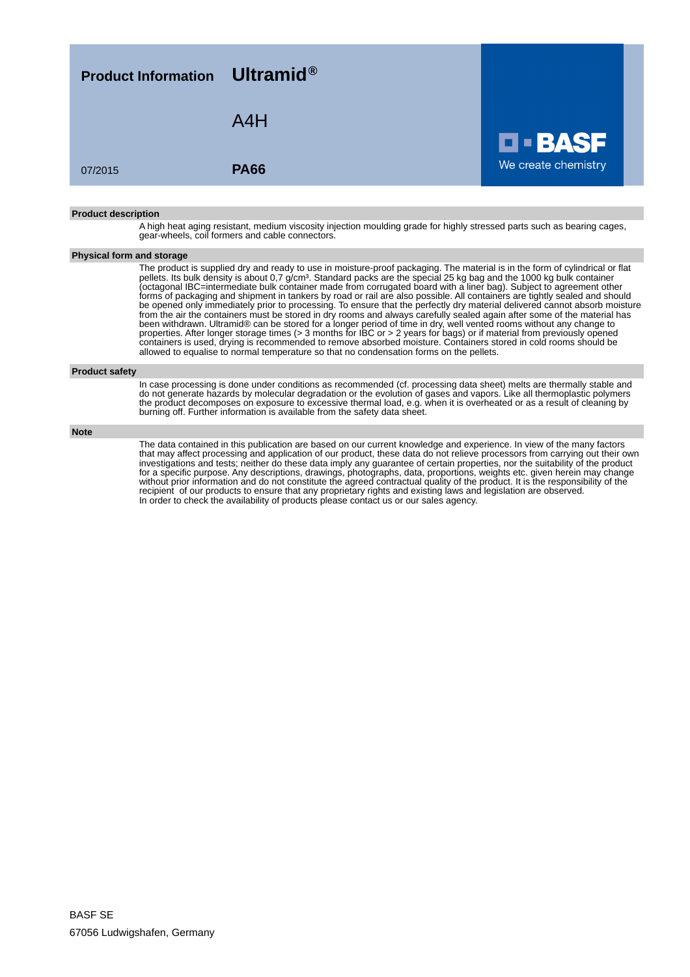| <b>Product Information</b> Ultramid <sup>®</sup> |             |                     |
|--------------------------------------------------|-------------|---------------------|
|                                                  | A4H         | <b>D-BASF</b>       |
| 07/2015                                          | <b>PA66</b> | We create chemistry |
|                                                  |             |                     |

#### **Product description**

A high heat aging resistant, medium viscosity injection moulding grade for highly stressed parts such as bearing cages, gear-wheels, coil formers and cable connectors.

### **Physical form and storage**

The product is supplied dry and ready to use in moisture-proof packaging. The material is in the form of cylindrical or flat pellets. Its bulk density is about 0,7 g/cm<sup>3</sup>. Standard packs are the special 25 kg bag and the 1000 kg bulk container (octagonal IBC=intermediate bulk container made from corrugated board with a liner bag). Subject to agreement other forms of packaging and shipment in tankers by road or rail are also possible. All containers are tightly sealed and should be opened only immediately prior to processing. To ensure that the perfectly dry material delivered cannot absorb moisture from the air the containers must be stored in dry rooms and always carefully sealed again after some of the material has been withdrawn. Ultramid® can be stored for a longer period of time in dry, well vented rooms without any change to properties. After longer storage times (> 3 months for IBC or > 2 years for bags) or if material from previously opened containers is used, drying is recommended to remove absorbed moisture. Containers stored in cold rooms should be allowed to equalise to normal temperature so that no condensation forms on the pellets.

#### **Product safety**

In case processing is done under conditions as recommended (cf. processing data sheet) melts are thermally stable and do not generate hazards by molecular degradation or the evolution of gases and vapors. Like all thermoplastic polymers the product decomposes on exposure to excessive thermal load, e.g. when it is overheated or as a result of cleaning by burning off. Further information is available from the safety data sheet.

#### **Note**

The data contained in this publication are based on our current knowledge and experience. In view of the many factors that may affect processing and application of our product, these data do not relieve processors from carrying out their own investigations and tests; neither do these data imply any guarantee of certain properties, nor the suitability of the product for a specific purpose. Any descriptions, drawings, photographs, data, proportions, weights etc. given herein may change without prior information and do not constitute the agreed contractual quality of the product. It is the responsibility of the recipient of our products to ensure that any proprietary rights and existing laws and legislation are observed. In order to check the availability of products please contact us or our sales agency.